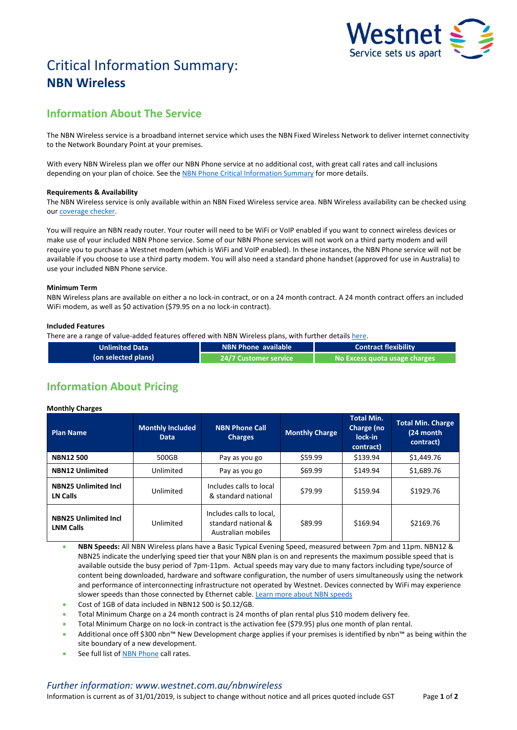

# Critical Information Summary: **NBN Wireless**

# **Information About The Service**

The NBN Wireless service is a broadband internet service which uses the NBN Fixed Wireless Network to deliver internet connectivity to the Network Boundary Point at your premises.

With every NBN Wireless plan we offer our NBN Phone service at no additional cost, with great call rates and call inclusions depending on your plan of choice. See the [NBN Phone Critical Information Summary](http://www.westnet.com.au/about/legal/cis/cis-nbn-phone.pdf) for more details.

# **Requirements & Availability**

The NBN Wireless service is only available within an NBN Fixed Wireless service area. NBN Wireless availability can be checked using ou[r coverage checker.](http://www.westnet.com.au/internet/broadband/nbn/coverage/)

You will require an NBN ready router. Your router will need to be WiFi or VoIP enabled if you want to connect wireless devices or make use of your included NBN Phone service. Some of our NBN Phone services will not work on a third party modem and will require you to purchase a Westnet modem (which is WiFi and VoIP enabled). In these instances, the NBN Phone service will not be available if you choose to use a third party modem. You will also need a standard phone handset (approved for use in Australia) to use your included NBN Phone service.

## **Minimum Term**

NBN Wireless plans are available on either a no lock-in contract, or on a 24 month contract. A 24 month contract offers an included WiFi modem, as well as \$0 activation (\$79.95 on a no lock-in contract).

# **Included Features**

There are a range of value-added features offered with NBN Wireless plans, with further details [here.](http://www.westnet.com.au/nbnwireless)

| <b>Unlimited Data</b> | <b>NBN Phone available</b> | <b>Contract flexibility</b>   |  |
|-----------------------|----------------------------|-------------------------------|--|
| (on selected plans)   | . 24/7 Customer service '  | No Excess quota usage charges |  |

# **Information About Pricing**

# **Monthly Charges**

| <b>Plan Name</b>                                | <b>Monthly Included</b><br><b>Data</b> | <b>NBN Phone Call</b><br><b>Charges</b>                               | <b>Monthly Charge</b> | <b>Total Min.</b><br><b>Charge</b> (no<br>lock-in<br>contract) | <b>Total Min. Charge</b><br>(24 month<br>contract) |
|-------------------------------------------------|----------------------------------------|-----------------------------------------------------------------------|-----------------------|----------------------------------------------------------------|----------------------------------------------------|
| <b>NBN12500</b>                                 | 500GB                                  | Pay as you go                                                         | \$59.99               | \$139.94                                                       | \$1,449.76                                         |
| <b>NBN12 Unlimited</b>                          | Unlimited                              | Pay as you go                                                         | \$69.99               | \$149.94                                                       | \$1,689.76                                         |
| <b>NBN25 Unlimited Incl</b><br>LN Calls         | Unlimited                              | Includes calls to local<br>& standard national                        | \$79.99               | \$159.94                                                       | \$1929.76                                          |
| <b>NBN25 Unlimited Incl</b><br><b>LNM Calls</b> | Unlimited                              | Includes calls to local,<br>standard national &<br>Australian mobiles | \$89.99               | \$169.94                                                       | \$2169.76                                          |

 **NBN Speeds:** All NBN Wireless plans have a Basic Typical Evening Speed, measured between 7pm and 11pm. NBN12 & NBN25 indicate the underlying speed tier that your NBN plan is on and represents the maximum possible speed that is available outside the busy period of 7pm-11pm. Actual speeds may vary due to many factors including type/source of content being downloaded, hardware and software configuration, the number of users simultaneously using the network and performance of interconnecting infrastructure not operated by Westnet. Devices connected by WiFi may experience slower speeds than those connected by Ethernet cable[. Learn more about NBN speeds](http://myhelp.westnet.com.au/node/1699)

- Cost of 1GB of data included in NBN12 500 is \$0.12/GB.
- Total Minimum Charge on a 24 month contract is 24 months of plan rental plus \$10 modem delivery fee.
- Total Minimum Charge on no lock-in contract is the activation fee (\$79.95) plus one month of plan rental.
- Additional once off \$300 nbn™ New Development charge applies if your premises is identified by nbn™ as being within the site boundary of a new development.
- See full list of [NBN Phone](http://www.westnet.com.au/nbnwireless) call rates.

# *Further information: www.westnet.com.au/nbnwireless*

Information is current as of 31/01/2019, is subject to change without notice and all prices quoted include GST Page **1** of **2**